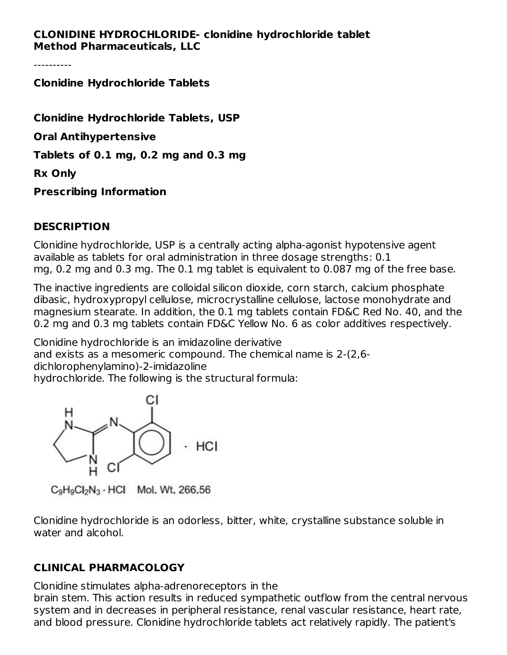#### **CLONIDINE HYDROCHLORIDE- clonidine hydrochloride tablet Method Pharmaceuticals, LLC**

----------

**Clonidine Hydrochloride Tablets**

**Clonidine Hydrochloride Tablets, USP Oral Antihypertensive Tablets of 0.1 mg, 0.2 mg and 0.3 mg Rx Only Prescribing Information**

#### **DESCRIPTION**

Clonidine hydrochloride, USP is a centrally acting alpha-agonist hypotensive agent available as tablets for oral administration in three dosage strengths: 0.1 mg, 0.2 mg and 0.3 mg. The 0.1 mg tablet is equivalent to 0.087 mg of the free base.

The inactive ingredients are colloidal silicon dioxide, corn starch, calcium phosphate dibasic, hydroxypropyl cellulose, microcrystalline cellulose, lactose monohydrate and magnesium stearate. In addition, the 0.1 mg tablets contain FD&C Red No. 40, and the 0.2 mg and 0.3 mg tablets contain FD&C Yellow No. 6 as color additives respectively.

Clonidine hydrochloride is an imidazoline derivative and exists as a mesomeric compound. The chemical name is 2-(2,6 dichlorophenylamino)-2-imidazoline hydrochloride. The following is the structural formula:



 $C_9H_9Cl_2N_3 \cdot HCl$  Mol, Wt, 266,56

Clonidine hydrochloride is an odorless, bitter, white, crystalline substance soluble in water and alcohol.

# **CLINICAL PHARMACOLOGY**

Clonidine stimulates alpha-adrenoreceptors in the

brain stem. This action results in reduced sympathetic outflow from the central nervous system and in decreases in peripheral resistance, renal vascular resistance, heart rate, and blood pressure. Clonidine hydrochloride tablets act relatively rapidly. The patient's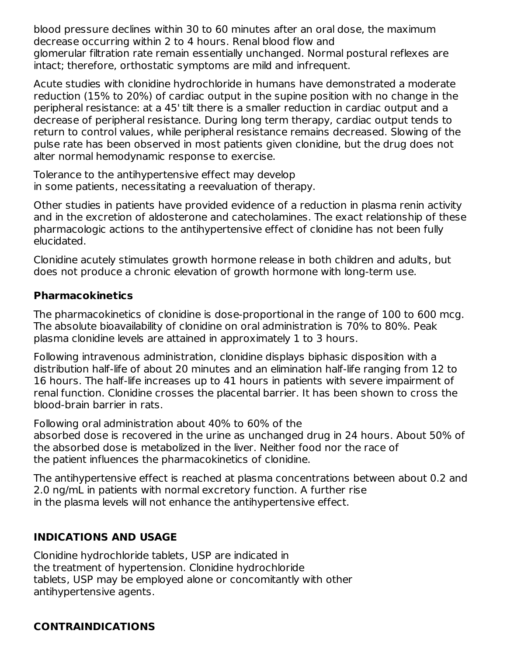blood pressure declines within 30 to 60 minutes after an oral dose, the maximum decrease occurring within 2 to 4 hours. Renal blood flow and glomerular filtration rate remain essentially unchanged. Normal postural reflexes are intact; therefore, orthostatic symptoms are mild and infrequent.

Acute studies with clonidine hydrochloride in humans have demonstrated a moderate reduction (15% to 20%) of cardiac output in the supine position with no change in the peripheral resistance: at a 45' tilt there is a smaller reduction in cardiac output and a decrease of peripheral resistance. During long term therapy, cardiac output tends to return to control values, while peripheral resistance remains decreased. Slowing of the pulse rate has been observed in most patients given clonidine, but the drug does not alter normal hemodynamic response to exercise.

Tolerance to the antihypertensive effect may develop in some patients, necessitating a reevaluation of therapy.

Other studies in patients have provided evidence of a reduction in plasma renin activity and in the excretion of aldosterone and catecholamines. The exact relationship of these pharmacologic actions to the antihypertensive effect of clonidine has not been fully elucidated.

Clonidine acutely stimulates growth hormone release in both children and adults, but does not produce a chronic elevation of growth hormone with long-term use.

# **Pharmacokinetics**

The pharmacokinetics of clonidine is dose-proportional in the range of 100 to 600 mcg. The absolute bioavailability of clonidine on oral administration is 70% to 80%. Peak plasma clonidine levels are attained in approximately 1 to 3 hours.

Following intravenous administration, clonidine displays biphasic disposition with a distribution half-life of about 20 minutes and an elimination half-life ranging from 12 to 16 hours. The half-life increases up to 41 hours in patients with severe impairment of renal function. Clonidine crosses the placental barrier. It has been shown to cross the blood-brain barrier in rats.

Following oral administration about 40% to 60% of the

absorbed dose is recovered in the urine as unchanged drug in 24 hours. About 50% of the absorbed dose is metabolized in the liver. Neither food nor the race of the patient influences the pharmacokinetics of clonidine.

The antihypertensive effect is reached at plasma concentrations between about 0.2 and 2.0 ng/mL in patients with normal excretory function. A further rise in the plasma levels will not enhance the antihypertensive effect.

# **INDICATIONS AND USAGE**

Clonidine hydrochloride tablets, USP are indicated in the treatment of hypertension. Clonidine hydrochloride tablets, USP may be employed alone or concomitantly with other antihypertensive agents.

# **CONTRAINDICATIONS**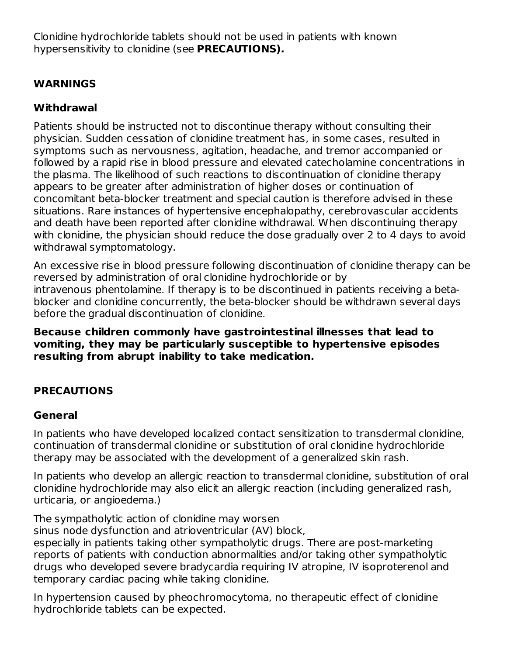Clonidine hydrochloride tablets should not be used in patients with known hypersensitivity to clonidine (see **PRECAUTIONS).**

# **WARNINGS**

# **Withdrawal**

Patients should be instructed not to discontinue therapy without consulting their physician. Sudden cessation of clonidine treatment has, in some cases, resulted in symptoms such as nervousness, agitation, headache, and tremor accompanied or followed by a rapid rise in blood pressure and elevated catecholamine concentrations in the plasma. The likelihood of such reactions to discontinuation of clonidine therapy appears to be greater after administration of higher doses or continuation of concomitant beta-blocker treatment and special caution is therefore advised in these situations. Rare instances of hypertensive encephalopathy, cerebrovascular accidents and death have been reported after clonidine withdrawal. When discontinuing therapy with clonidine, the physician should reduce the dose gradually over 2 to 4 days to avoid withdrawal symptomatology.

An excessive rise in blood pressure following discontinuation of clonidine therapy can be reversed by administration of oral clonidine hydrochloride or by intravenous phentolamine. If therapy is to be discontinued in patients receiving a betablocker and clonidine concurrently, the beta-blocker should be withdrawn several days before the gradual discontinuation of clonidine.

**Because children commonly have gastrointestinal illnesses that lead to vomiting, they may be particularly susceptible to hypertensive episodes resulting from abrupt inability to take medication.**

# **PRECAUTIONS**

# **General**

In patients who have developed localized contact sensitization to transdermal clonidine, continuation of transdermal clonidine or substitution of oral clonidine hydrochloride therapy may be associated with the development of a generalized skin rash.

In patients who develop an allergic reaction to transdermal clonidine, substitution of oral clonidine hydrochloride may also elicit an allergic reaction (including generalized rash, urticaria, or angioedema.)

The sympatholytic action of clonidine may worsen

sinus node dysfunction and atrioventricular (AV) block,

especially in patients taking other sympatholytic drugs. There are post-marketing reports of patients with conduction abnormalities and/or taking other sympatholytic drugs who developed severe bradycardia requiring IV atropine, IV isoproterenol and temporary cardiac pacing while taking clonidine.

In hypertension caused by pheochromocytoma, no therapeutic effect of clonidine hydrochloride tablets can be expected.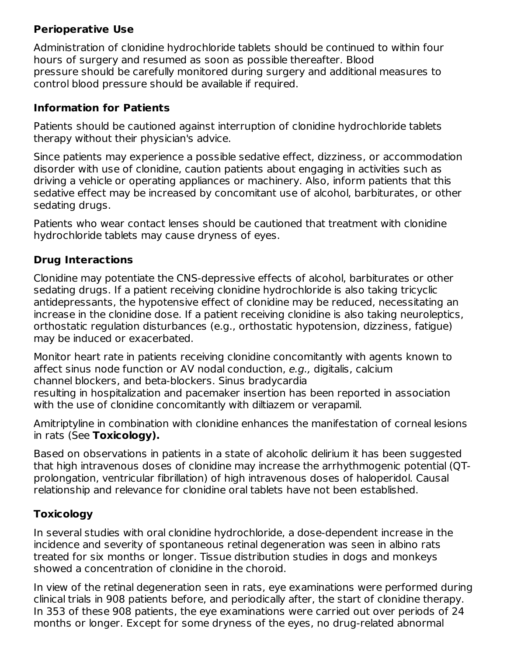# **Perioperative Use**

Administration of clonidine hydrochloride tablets should be continued to within four hours of surgery and resumed as soon as possible thereafter. Blood pressure should be carefully monitored during surgery and additional measures to control blood pressure should be available if required.

# **Information for Patients**

Patients should be cautioned against interruption of clonidine hydrochloride tablets therapy without their physician's advice.

Since patients may experience a possible sedative effect, dizziness, or accommodation disorder with use of clonidine, caution patients about engaging in activities such as driving a vehicle or operating appliances or machinery. Also, inform patients that this sedative effect may be increased by concomitant use of alcohol, barbiturates, or other sedating drugs.

Patients who wear contact lenses should be cautioned that treatment with clonidine hydrochloride tablets may cause dryness of eyes.

# **Drug Interactions**

Clonidine may potentiate the CNS-depressive effects of alcohol, barbiturates or other sedating drugs. If a patient receiving clonidine hydrochloride is also taking tricyclic antidepressants, the hypotensive effect of clonidine may be reduced, necessitating an increase in the clonidine dose. If a patient receiving clonidine is also taking neuroleptics, orthostatic regulation disturbances (e.g., orthostatic hypotension, dizziness, fatigue) may be induced or exacerbated.

Monitor heart rate in patients receiving clonidine concomitantly with agents known to affect sinus node function or AV nodal conduction, e.g., digitalis, calcium channel blockers, and beta-blockers. Sinus bradycardia resulting in hospitalization and pacemaker insertion has been reported in association with the use of clonidine concomitantly with diltiazem or verapamil.

Amitriptyline in combination with clonidine enhances the manifestation of corneal lesions in rats (See **Toxicology).**

Based on observations in patients in a state of alcoholic delirium it has been suggested that high intravenous doses of clonidine may increase the arrhythmogenic potential (QTprolongation, ventricular fibrillation) of high intravenous doses of haloperidol. Causal relationship and relevance for clonidine oral tablets have not been established.

# **Toxicology**

In several studies with oral clonidine hydrochloride, a dose-dependent increase in the incidence and severity of spontaneous retinal degeneration was seen in albino rats treated for six months or longer. Tissue distribution studies in dogs and monkeys showed a concentration of clonidine in the choroid.

In view of the retinal degeneration seen in rats, eye examinations were performed during clinical trials in 908 patients before, and periodically after, the start of clonidine therapy. In 353 of these 908 patients, the eye examinations were carried out over periods of 24 months or longer. Except for some dryness of the eyes, no drug-related abnormal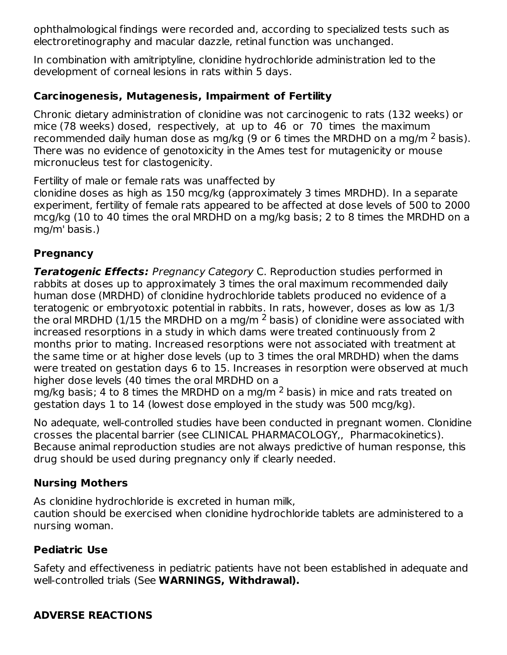ophthalmological findings were recorded and, according to specialized tests such as electroretinography and macular dazzle, retinal function was unchanged.

In combination with amitriptyline, clonidine hydrochloride administration led to the development of corneal lesions in rats within 5 days.

#### **Carcinogenesis, Mutagenesis, Impairment of Fertility**

Chronic dietary administration of clonidine was not carcinogenic to rats (132 weeks) or mice (78 weeks) dosed, respectively, at up to 46 or 70 times the maximum recommended daily human dose as mg/kg (9 or 6 times the MRDHD on a mg/m  $^2$  basis). There was no evidence of genotoxicity in the Ames test for mutagenicity or mouse micronucleus test for clastogenicity.

Fertility of male or female rats was unaffected by

clonidine doses as high as 150 mcg/kg (approximately 3 times MRDHD). In a separate experiment, fertility of female rats appeared to be affected at dose levels of 500 to 2000 mcg/kg (10 to 40 times the oral MRDHD on a mg/kg basis; 2 to 8 times the MRDHD on a mg/m' basis.)

#### **Pregnancy**

**Teratogenic Effects:** Pregnancy Category C. Reproduction studies performed in rabbits at doses up to approximately 3 times the oral maximum recommended daily human dose (MRDHD) of clonidine hydrochloride tablets produced no evidence of a teratogenic or embryotoxic potential in rabbits. In rats, however, doses as low as 1/3 the oral MRDHD (1/15 the MRDHD on a mg/m  $^2$  basis) of clonidine were associated with increased resorptions in a study in which dams were treated continuously from 2 months prior to mating. Increased resorptions were not associated with treatment at the same time or at higher dose levels (up to 3 times the oral MRDHD) when the dams were treated on gestation days 6 to 15. Increases in resorption were observed at much higher dose levels (40 times the oral MRDHD on a

mg/kg basis; 4 to 8 times the MRDHD on a mg/m  $^2$  basis) in mice and rats treated on gestation days 1 to 14 (lowest dose employed in the study was 500 mcg/kg).

No adequate, well-controlled studies have been conducted in pregnant women. Clonidine crosses the placental barrier (see CLINICAL PHARMACOLOGY,, Pharmacokinetics). Because animal reproduction studies are not always predictive of human response, this drug should be used during pregnancy only if clearly needed.

#### **Nursing Mothers**

As clonidine hydrochloride is excreted in human milk,

caution should be exercised when clonidine hydrochloride tablets are administered to a nursing woman.

# **Pediatric Use**

Safety and effectiveness in pediatric patients have not been established in adequate and well-controlled trials (See **WARNINGS, Withdrawal).**

# **ADVERSE REACTIONS**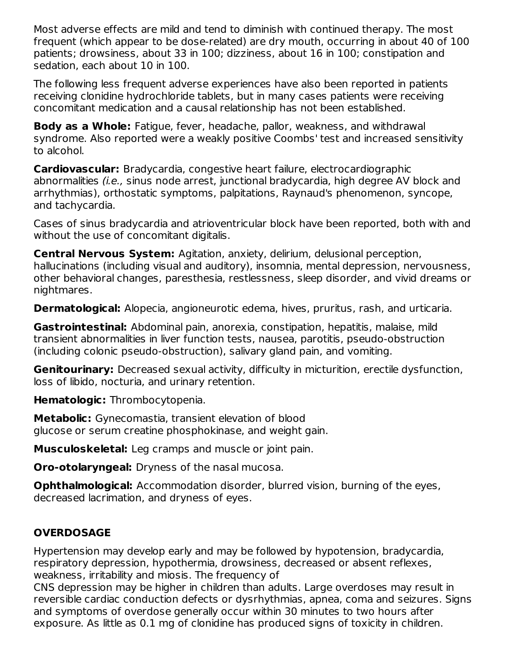Most adverse effects are mild and tend to diminish with continued therapy. The most frequent (which appear to be dose-related) are dry mouth, occurring in about 40 of 100 patients; drowsiness, about 33 in 100; dizziness, about 16 in 100; constipation and sedation, each about 10 in 100.

The following less frequent adverse experiences have also been reported in patients receiving clonidine hydrochloride tablets, but in many cases patients were receiving concomitant medication and a causal relationship has not been established.

**Body as a Whole:** Fatigue, fever, headache, pallor, weakness, and withdrawal syndrome. Also reported were a weakly positive Coombs' test and increased sensitivity to alcohol.

**Cardiovascular:** Bradycardia, congestive heart failure, electrocardiographic abnormalities (i.e., sinus node arrest, junctional bradycardia, high degree AV block and arrhythmias), orthostatic symptoms, palpitations, Raynaud's phenomenon, syncope, and tachycardia.

Cases of sinus bradycardia and atrioventricular block have been reported, both with and without the use of concomitant digitalis.

**Central Nervous System:** Agitation, anxiety, delirium, delusional perception, hallucinations (including visual and auditory), insomnia, mental depression, nervousness, other behavioral changes, paresthesia, restlessness, sleep disorder, and vivid dreams or nightmares.

**Dermatological:** Alopecia, angioneurotic edema, hives, pruritus, rash, and urticaria.

**Gastrointestinal:** Abdominal pain, anorexia, constipation, hepatitis, malaise, mild transient abnormalities in liver function tests, nausea, parotitis, pseudo-obstruction (including colonic pseudo-obstruction), salivary gland pain, and vomiting.

**Genitourinary:** Decreased sexual activity, difficulty in micturition, erectile dysfunction, loss of libido, nocturia, and urinary retention.

**Hematologic:** Thrombocytopenia.

**Metabolic:** Gynecomastia, transient elevation of blood glucose or serum creatine phosphokinase, and weight gain.

**Musculoskeletal:** Leg cramps and muscle or joint pain.

**Oro-otolaryngeal:** Dryness of the nasal mucosa.

**Ophthalmological:** Accommodation disorder, blurred vision, burning of the eyes, decreased lacrimation, and dryness of eyes.

# **OVERDOSAGE**

Hypertension may develop early and may be followed by hypotension, bradycardia, respiratory depression, hypothermia, drowsiness, decreased or absent reflexes, weakness, irritability and miosis. The frequency of

CNS depression may be higher in children than adults. Large overdoses may result in reversible cardiac conduction defects or dysrhythmias, apnea, coma and seizures. Signs and symptoms of overdose generally occur within 30 minutes to two hours after exposure. As little as 0.1 mg of clonidine has produced signs of toxicity in children.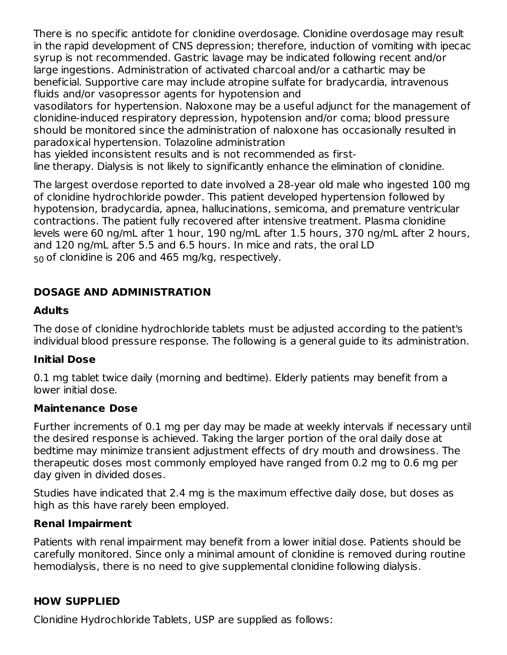There is no specific antidote for clonidine overdosage. Clonidine overdosage may result in the rapid development of CNS depression; therefore, induction of vomiting with ipecac syrup is not recommended. Gastric lavage may be indicated following recent and/or large ingestions. Administration of activated charcoal and/or a cathartic may be beneficial. Supportive care may include atropine sulfate for bradycardia, intravenous fluids and/or vasopressor agents for hypotension and

vasodilators for hypertension. Naloxone may be a useful adjunct for the management of clonidine-induced respiratory depression, hypotension and/or coma; blood pressure should be monitored since the administration of naloxone has occasionally resulted in paradoxical hypertension. Tolazoline administration

has yielded inconsistent results and is not recommended as first-

line therapy. Dialysis is not likely to significantly enhance the elimination of clonidine.

The largest overdose reported to date involved a 28-year old male who ingested 100 mg of clonidine hydrochloride powder. This patient developed hypertension followed by hypotension, bradycardia, apnea, hallucinations, semicoma, and premature ventricular contractions. The patient fully recovered after intensive treatment. Plasma clonidine levels were 60 ng/mL after 1 hour, 190 ng/mL after 1.5 hours, 370 ng/mL after 2 hours, and 120 ng/mL after 5.5 and 6.5 hours. In mice and rats, the oral LD  $_{50}$  of clonidine is 206 and 465 mg/kg, respectively.

#### **DOSAGE AND ADMINISTRATION**

#### **Adults**

The dose of clonidine hydrochloride tablets must be adjusted according to the patient's individual blood pressure response. The following is a general guide to its administration.

#### **Initial Dose**

0.1 mg tablet twice daily (morning and bedtime). Elderly patients may benefit from a lower initial dose.

#### **Maintenance Dose**

Further increments of 0.1 mg per day may be made at weekly intervals if necessary until the desired response is achieved. Taking the larger portion of the oral daily dose at bedtime may minimize transient adjustment effects of dry mouth and drowsiness. The therapeutic doses most commonly employed have ranged from 0.2 mg to 0.6 mg per day given in divided doses.

Studies have indicated that 2.4 mg is the maximum effective daily dose, but doses as high as this have rarely been employed.

#### **Renal Impairment**

Patients with renal impairment may benefit from a lower initial dose. Patients should be carefully monitored. Since only a minimal amount of clonidine is removed during routine hemodialysis, there is no need to give supplemental clonidine following dialysis.

#### **HOW SUPPLIED**

Clonidine Hydrochloride Tablets, USP are supplied as follows: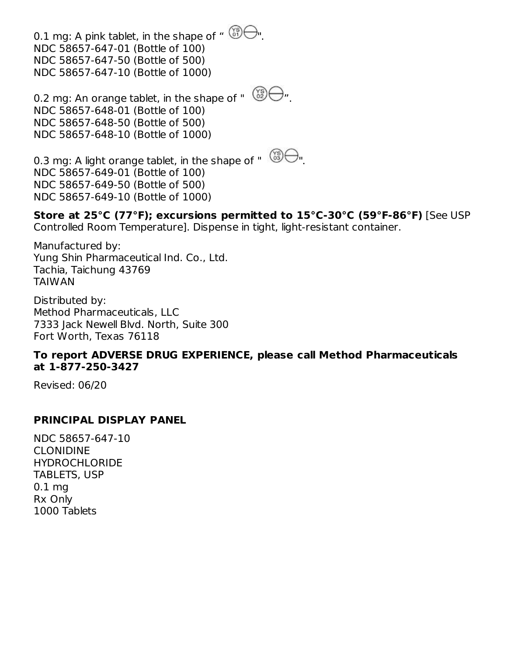0.1 mg: A pink tablet, in the shape of " NDC 58657-647-01 (Bottle of 100) NDC 58657-647-50 (Bottle of 500) NDC 58657-647-10 (Bottle of 1000)

0.2 mg: An orange tablet, in the shape of "  $\bigotimes^{\infty} \bigoplus$ ". NDC 58657-648-01 (Bottle of 100) NDC 58657-648-50 (Bottle of 500) NDC 58657-648-10 (Bottle of 1000)

0.3 mg: A light orange tablet, in the shape of " NDC 58657-649-01 (Bottle of 100) NDC 58657-649-50 (Bottle of 500) NDC 58657-649-10 (Bottle of 1000)

**Store at 25°C (77°F); excursions permitted to 15°C-30°C (59°F-86°F)** [See USP Controlled Room Temperature]. Dispense in tight, light-resistant container.

Manufactured by: Yung Shin Pharmaceutical Ind. Co., Ltd. Tachia, Taichung 43769 TAIWAN

Distributed by: Method Pharmaceuticals, LLC 7333 Jack Newell Blvd. North, Suite 300 Fort Worth, Texas 76118

#### **To report ADVERSE DRUG EXPERIENCE, please call Method Pharmaceuticals at 1-877-250-3427**

Revised: 06/20

#### **PRINCIPAL DISPLAY PANEL**

NDC 58657-647-10 CLONIDINE **HYDROCHLORIDE** TABLETS, USP 0.1 mg Rx Only 1000 Tablets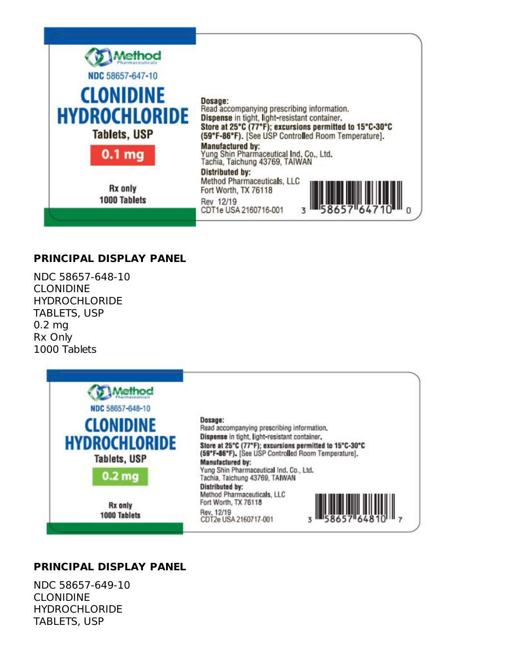

#### **PRINCIPAL DISPLAY PANEL**

NDC 58657-648-10 CLONIDINE **HYDROCHLORIDE** TABLETS, USP 0.2 mg Rx Only 1000 Tablets



#### **PRINCIPAL DISPLAY PANEL**

NDC 58657-649-10 CLONIDINE **HYDROCHLORIDE** TABLETS, USP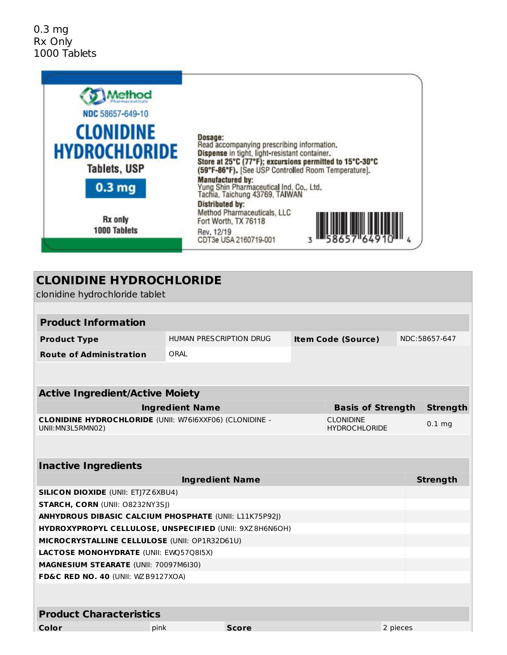

| <b>CLONIDINE HYDROCHLORIDE</b>                                                      |                         |              |  |                                          |          |                 |  |
|-------------------------------------------------------------------------------------|-------------------------|--------------|--|------------------------------------------|----------|-----------------|--|
| clonidine hydrochloride tablet                                                      |                         |              |  |                                          |          |                 |  |
|                                                                                     |                         |              |  |                                          |          |                 |  |
| <b>Product Information</b>                                                          |                         |              |  |                                          |          |                 |  |
| <b>Product Type</b>                                                                 | HUMAN PRESCRIPTION DRUG |              |  | <b>Item Code (Source)</b>                |          | NDC:58657-647   |  |
| <b>Route of Administration</b>                                                      | ORAL                    |              |  |                                          |          |                 |  |
|                                                                                     |                         |              |  |                                          |          |                 |  |
|                                                                                     |                         |              |  |                                          |          |                 |  |
| <b>Active Ingredient/Active Moiety</b>                                              |                         |              |  |                                          |          |                 |  |
|                                                                                     | <b>Ingredient Name</b>  |              |  | <b>Basis of Strength</b>                 |          | <b>Strength</b> |  |
| <b>CLONIDINE HYDROCHLORIDE (UNII: W76I6XXF06) (CLONIDINE -</b><br>UNII: MN3L5RMN02) |                         |              |  | <b>CLONIDINE</b><br><b>HYDROCHLORIDE</b> |          | $0.1$ mg        |  |
|                                                                                     |                         |              |  |                                          |          |                 |  |
| <b>Inactive Ingredients</b>                                                         |                         |              |  |                                          |          |                 |  |
|                                                                                     | <b>Ingredient Name</b>  |              |  |                                          |          | <b>Strength</b> |  |
| <b>SILICON DIOXIDE (UNII: ETJ7Z6XBU4)</b>                                           |                         |              |  |                                          |          |                 |  |
| STARCH, CORN (UNII: 08232NY3SJ)                                                     |                         |              |  |                                          |          |                 |  |
| <b>ANHYDROUS DIBASIC CALCIUM PHOSPHATE (UNII: L11K75P92J)</b>                       |                         |              |  |                                          |          |                 |  |
| HYDROXYPROPYL CELLULOSE, UNSPECIFIED (UNII: 9XZ8H6N6OH)                             |                         |              |  |                                          |          |                 |  |
| MICROCRYSTALLINE CELLULOSE (UNII: OP1R32D61U)                                       |                         |              |  |                                          |          |                 |  |
| LACTOSE MONOHYDRATE (UNII: EWQ57Q8I5X)                                              |                         |              |  |                                          |          |                 |  |
| MAGNESIUM STEARATE (UNII: 70097M6I30)                                               |                         |              |  |                                          |          |                 |  |
| FD&C RED NO. 40 (UNII: WZB9127XOA)                                                  |                         |              |  |                                          |          |                 |  |
|                                                                                     |                         |              |  |                                          |          |                 |  |
| <b>Product Characteristics</b>                                                      |                         |              |  |                                          |          |                 |  |
| Color<br>pink                                                                       |                         | <b>Score</b> |  |                                          | 2 pieces |                 |  |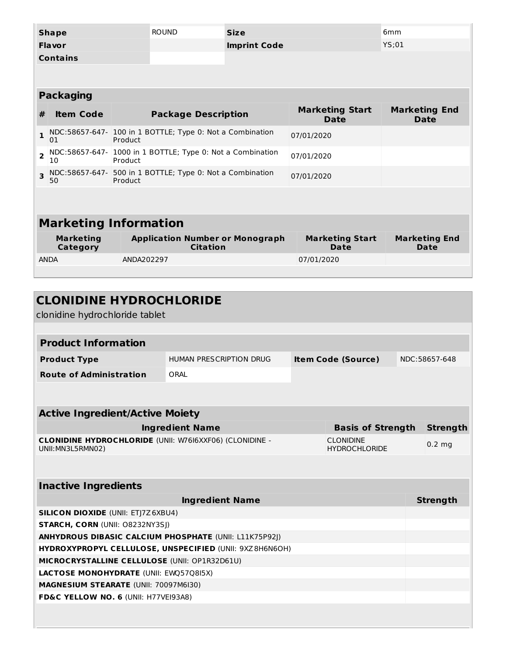| <b>Shape</b>                 |                                                                  |         | <b>ROUND</b>               | <b>Size</b>                                                                     |            | 6mm                                          |                              |                                     |
|------------------------------|------------------------------------------------------------------|---------|----------------------------|---------------------------------------------------------------------------------|------------|----------------------------------------------|------------------------------|-------------------------------------|
| <b>Flavor</b>                |                                                                  |         |                            | <b>Imprint Code</b>                                                             |            | YS;01                                        |                              |                                     |
|                              | <b>Contains</b>                                                  |         |                            |                                                                                 |            |                                              |                              |                                     |
|                              |                                                                  |         |                            |                                                                                 |            |                                              |                              |                                     |
|                              |                                                                  |         |                            |                                                                                 |            |                                              |                              |                                     |
|                              | <b>Packaging</b>                                                 |         |                            |                                                                                 |            |                                              |                              |                                     |
| #                            | <b>Item Code</b>                                                 |         | <b>Package Description</b> |                                                                                 |            | <b>Marketing Start</b><br><b>Date</b>        |                              | <b>Marketing End</b><br><b>Date</b> |
| 1                            | NDC:58657-647- 100 in 1 BOTTLE; Type 0: Not a Combination<br>01  | Product |                            |                                                                                 | 07/01/2020 |                                              |                              |                                     |
| $\overline{2}$               | NDC:58657-647- 1000 in 1 BOTTLE; Type 0: Not a Combination<br>10 | Product |                            |                                                                                 | 07/01/2020 |                                              |                              |                                     |
| 3                            | NDC:58657-647- 500 in 1 BOTTLE; Type 0: Not a Combination<br>50  | Product |                            |                                                                                 | 07/01/2020 |                                              |                              |                                     |
|                              |                                                                  |         |                            |                                                                                 |            |                                              |                              |                                     |
|                              |                                                                  |         |                            |                                                                                 |            |                                              |                              |                                     |
|                              | <b>Marketing Information</b>                                     |         |                            |                                                                                 |            |                                              |                              |                                     |
| <b>Marketing</b><br>Category |                                                                  |         | <b>Citation</b>            | <b>Application Number or Monograph</b><br><b>Marketing Start</b><br><b>Date</b> |            |                                              | <b>Marketing End</b><br>Date |                                     |
| <b>ANDA</b><br>ANDA202297    |                                                                  |         | 07/01/2020                 |                                                                                 |            |                                              |                              |                                     |
|                              |                                                                  |         |                            |                                                                                 |            |                                              |                              |                                     |
|                              |                                                                  |         |                            |                                                                                 |            |                                              |                              |                                     |
|                              | <b>CLONIDINE HYDROCHLORIDE</b>                                   |         |                            |                                                                                 |            |                                              |                              |                                     |
|                              | clonidine hydrochloride tablet                                   |         |                            |                                                                                 |            |                                              |                              |                                     |
|                              |                                                                  |         |                            |                                                                                 |            |                                              |                              |                                     |
|                              | <b>Product Information</b>                                       |         |                            |                                                                                 |            |                                              |                              |                                     |
|                              | <b>Product Type</b>                                              |         | HUMAN PRESCRIPTION DRUG    | <b>Item Code (Source)</b>                                                       |            |                                              | NDC:58657-648                |                                     |
|                              | <b>Route of Administration</b>                                   |         | ORAL                       |                                                                                 |            |                                              |                              |                                     |
|                              |                                                                  |         |                            |                                                                                 |            |                                              |                              |                                     |
|                              |                                                                  |         |                            |                                                                                 |            |                                              |                              |                                     |
|                              |                                                                  |         |                            |                                                                                 |            |                                              |                              |                                     |
|                              | <b>Active Ingredient/Active Moiety</b>                           |         |                            |                                                                                 |            |                                              |                              |                                     |
|                              | <b>CLONIDINE HYDROCHLORIDE (UNII: W76I6XXF06) (CLONIDINE -</b>   |         | <b>Ingredient Name</b>     |                                                                                 |            | <b>Basis of Strength</b><br><b>CLONIDINE</b> |                              | <b>Strength</b>                     |
|                              | UNII: MN3L5RMN02)                                                |         |                            |                                                                                 |            | <b>HYDROCHLORIDE</b>                         |                              | $0.2$ mg                            |
|                              |                                                                  |         |                            |                                                                                 |            |                                              |                              |                                     |

| <u>HASSITS HIGH SAISHIS</u>                                   |                 |
|---------------------------------------------------------------|-----------------|
| <b>Ingredient Name</b>                                        | <b>Strength</b> |
| <b>SILICON DIOXIDE (UNII: ETI7Z6XBU4)</b>                     |                 |
| <b>STARCH, CORN (UNII: 08232NY3SI)</b>                        |                 |
| <b>ANHYDROUS DIBASIC CALCIUM PHOSPHATE (UNII: L11K75P92I)</b> |                 |
| HYDROXYPROPYL CELLULOSE, UNSPECIFIED (UNII: 9XZ8H6N6OH)       |                 |
| <b>MICROCRYSTALLINE CELLULOSE (UNII: OP1R32D61U)</b>          |                 |
| <b>LACTOSE MONOHYDRATE (UNII: EWQ57Q8I5X)</b>                 |                 |
| <b>MAGNESIUM STEARATE (UNII: 70097M6I30)</b>                  |                 |
| FD&C YELLOW NO. 6 (UNII: H77VEI93A8)                          |                 |
|                                                               |                 |
|                                                               |                 |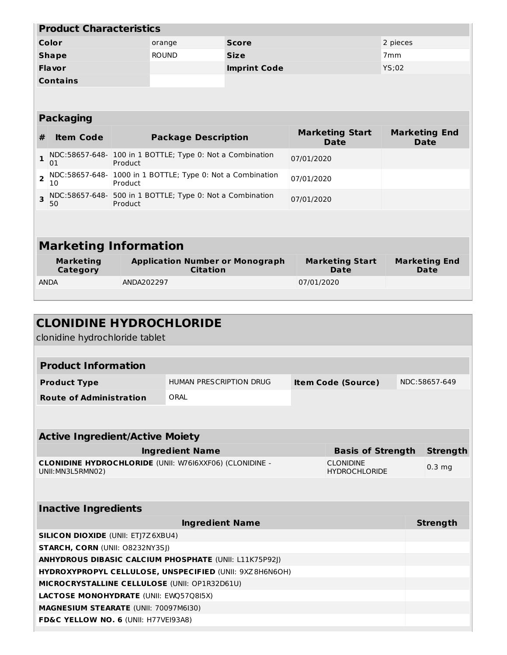| <b>Product Characteristics</b> |              |                     |                 |  |  |
|--------------------------------|--------------|---------------------|-----------------|--|--|
| Color                          | orange       | <b>Score</b>        | 2 pieces        |  |  |
| <b>Shape</b>                   | <b>ROUND</b> | <b>Size</b>         | 7 <sub>mm</sub> |  |  |
| <b>Flavor</b>                  |              | <b>Imprint Code</b> | YS;02           |  |  |
| <b>Contains</b>                |              |                     |                 |  |  |

# **Packaging**

| #                            | <b>Item Code</b> | <b>Package Description</b>                                            | <b>Marketing Start</b><br><b>Date</b> | <b>Marketing End</b><br><b>Date</b> |  |
|------------------------------|------------------|-----------------------------------------------------------------------|---------------------------------------|-------------------------------------|--|
|                              | 01               | NDC:58657-648- 100 in 1 BOTTLE; Type 0: Not a Combination<br>Product  | 07/01/2020                            |                                     |  |
| $\overline{z}$               | 10               | NDC:58657-648- 1000 in 1 BOTTLE; Type 0: Not a Combination<br>Product | 07/01/2020                            |                                     |  |
|                              | 50               | NDC:58657-648- 500 in 1 BOTTLE; Type 0: Not a Combination<br>Product  | 07/01/2020                            |                                     |  |
|                              |                  |                                                                       |                                       |                                     |  |
| <b>Marketing Information</b> |                  |                                                                       |                                       |                                     |  |
|                              |                  |                                                                       |                                       |                                     |  |

| Marketing<br>Category | <b>Application Number or Monograph</b><br><b>Citation</b> | <b>Marketing Start</b><br>Date | <b>Marketing End</b><br>Date |
|-----------------------|-----------------------------------------------------------|--------------------------------|------------------------------|
| <b>ANDA</b>           | ANDA202297                                                | 07/01/2020                     |                              |
|                       |                                                           |                                |                              |

| <b>CLONIDINE HYDROCHLORIDE</b><br>clonidine hydrochloride tablet                    |                         |                           |                                   |  |                 |  |
|-------------------------------------------------------------------------------------|-------------------------|---------------------------|-----------------------------------|--|-----------------|--|
|                                                                                     |                         |                           |                                   |  |                 |  |
| <b>Product Information</b>                                                          |                         |                           |                                   |  |                 |  |
| <b>Product Type</b>                                                                 | HUMAN PRESCRIPTION DRUG | <b>Item Code (Source)</b> |                                   |  | NDC:58657-649   |  |
| <b>Route of Administration</b>                                                      | ORAL                    |                           |                                   |  |                 |  |
|                                                                                     |                         |                           |                                   |  |                 |  |
| <b>Active Ingredient/Active Moiety</b>                                              |                         |                           |                                   |  |                 |  |
| <b>Ingredient Name</b><br><b>Basis of Strength</b>                                  |                         |                           |                                   |  | <b>Strength</b> |  |
| <b>CLONIDINE HYDROCHLORIDE (UNII: W76I6XXF06) (CLONIDINE -</b><br>UNII: MN3L5RMN02) |                         |                           | CLONIDINE<br><b>HYDROCHLORIDE</b> |  | $0.3$ mg        |  |
|                                                                                     |                         |                           |                                   |  |                 |  |
| <b>Inactive Ingredients</b>                                                         |                         |                           |                                   |  |                 |  |
|                                                                                     | <b>Ingredient Name</b>  |                           |                                   |  | <b>Strength</b> |  |
| <b>SILICON DIOXIDE (UNII: ETJ7Z6XBU4)</b>                                           |                         |                           |                                   |  |                 |  |
| <b>STARCH, CORN (UNII: 08232NY3SI)</b>                                              |                         |                           |                                   |  |                 |  |
| <b>ANHYDROUS DIBASIC CALCIUM PHOSPHATE (UNII: L11K75P92))</b>                       |                         |                           |                                   |  |                 |  |
| HYDROXYPROPYL CELLULOSE, UNSPECIFIED (UNII: 9XZ8H6N6OH)                             |                         |                           |                                   |  |                 |  |
| MICROCRYSTALLINE CELLULOSE (UNII: OP1R32D61U)                                       |                         |                           |                                   |  |                 |  |
| <b>LACTOSE MONOHYDRATE (UNII: EWQ57Q8I5X)</b>                                       |                         |                           |                                   |  |                 |  |
| MAGNESIUM STEARATE (UNII: 70097M6I30)                                               |                         |                           |                                   |  |                 |  |
| FD&C YELLOW NO. 6 (UNII: H77VEI93A8)                                                |                         |                           |                                   |  |                 |  |
|                                                                                     |                         |                           |                                   |  |                 |  |